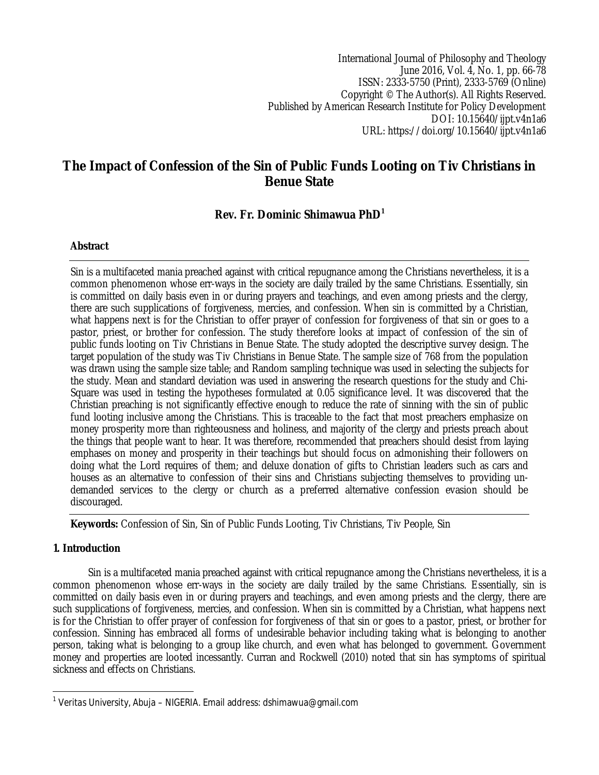International Journal of Philosophy and Theology June 2016, Vol. 4, No. 1, pp. 66-78 ISSN: 2333-5750 (Print), 2333-5769 (Online) Copyright © The Author(s). All Rights Reserved. Published by American Research Institute for Policy Development DOI: 10.15640/ijpt.v4n1a6 URL: https://doi.org/10.15640/ijpt.v4n1a6

# **The Impact of Confession of the Sin of Public Funds Looting on Tiv Christians in Benue State**

## **Rev. Fr. Dominic Shimawua PhD<sup>1</sup>**

### **Abstract**

Sin is a multifaceted mania preached against with critical repugnance among the Christians nevertheless, it is a common phenomenon whose err-ways in the society are daily trailed by the same Christians. Essentially, sin is committed on daily basis even in or during prayers and teachings, and even among priests and the clergy, there are such supplications of forgiveness, mercies, and confession. When sin is committed by a Christian, what happens next is for the Christian to offer prayer of confession for forgiveness of that sin or goes to a pastor, priest, or brother for confession. The study therefore looks at impact of confession of the sin of public funds looting on Tiv Christians in Benue State. The study adopted the descriptive survey design. The target population of the study was Tiv Christians in Benue State. The sample size of 768 from the population was drawn using the sample size table; and Random sampling technique was used in selecting the subjects for the study. Mean and standard deviation was used in answering the research questions for the study and Chi-Square was used in testing the hypotheses formulated at 0.05 significance level. It was discovered that the Christian preaching is not significantly effective enough to reduce the rate of sinning with the sin of public fund looting inclusive among the Christians. This is traceable to the fact that most preachers emphasize on money prosperity more than righteousness and holiness, and majority of the clergy and priests preach about the things that people want to hear. It was therefore, recommended that preachers should desist from laying emphases on money and prosperity in their teachings but should focus on admonishing their followers on doing what the Lord requires of them; and deluxe donation of gifts to Christian leaders such as cars and houses as an alternative to confession of their sins and Christians subjecting themselves to providing undemanded services to the clergy or church as a preferred alternative confession evasion should be discouraged.

**Keywords:** Confession of Sin, Sin of Public Funds Looting, Tiv Christians, Tiv People, Sin

### **1. Introduction**

Sin is a multifaceted mania preached against with critical repugnance among the Christians nevertheless, it is a common phenomenon whose err-ways in the society are daily trailed by the same Christians. Essentially, sin is committed on daily basis even in or during prayers and teachings, and even among priests and the clergy, there are such supplications of forgiveness, mercies, and confession. When sin is committed by a Christian, what happens next is for the Christian to offer prayer of confession for forgiveness of that sin or goes to a pastor, priest, or brother for confession. Sinning has embraced all forms of undesirable behavior including taking what is belonging to another person, taking what is belonging to a group like church, and even what has belonged to government. Government money and properties are looted incessantly. Curran and Rockwell (2010) noted that sin has symptoms of spiritual sickness and effects on Christians.

 $\overline{a}$ 1 *Veritas University, Abuja – NIGERIA.* Email address: dshimawua@gmail.com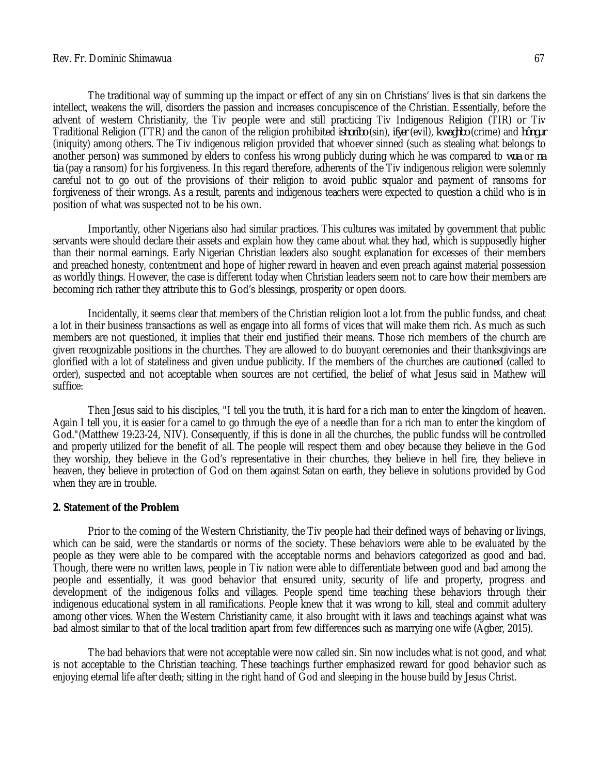#### Rev. Fr. Dominic Shimawua 67

The traditional way of summing up the impact or effect of any sin on Christians' lives is that sin darkens the intellect, weakens the will, disorders the passion and increases concupiscence of the Christian. Essentially, before the advent of western Christianity, the Tiv people were and still practicing Tiv Indigenous Religion (TIR) or Tiv Traditional Religion (TTR) and the canon of the religion prohibited *ishoribo* (sin), *ifyer* (evil), *kwaghbo* (crime) and *hôngur* (iniquity) among others. The Tiv indigenous religion provided that whoever sinned (such as stealing what belongs to another person) was summoned by elders to confess his wrong publicly during which he was compared to *wua* or *na tia* (pay a ransom) for his forgiveness. In this regard therefore, adherents of the Tiv indigenous religion were solemnly careful not to go out of the provisions of their religion to avoid public squalor and payment of ransoms for forgiveness of their wrongs. As a result, parents and indigenous teachers were expected to question a child who is in position of what was suspected not to be his own.

Importantly, other Nigerians also had similar practices. This cultures was imitated by government that public servants were should declare their assets and explain how they came about what they had, which is supposedly higher than their normal earnings. Early Nigerian Christian leaders also sought explanation for excesses of their members and preached honesty, contentment and hope of higher reward in heaven and even preach against material possession as worldly things. However, the case is different today when Christian leaders seem not to care how their members are becoming rich rather they attribute this to God's blessings, prosperity or open doors.

Incidentally, it seems clear that members of the Christian religion loot a lot from the public fundss, and cheat a lot in their business transactions as well as engage into all forms of vices that will make them rich. As much as such members are not questioned, it implies that their end justified their means. Those rich members of the church are given recognizable positions in the churches. They are allowed to do buoyant ceremonies and their thanksgivings are glorified with a lot of stateliness and given undue publicity. If the members of the churches are cautioned (called to order), suspected and not acceptable when sources are not certified, the belief of what Jesus said in Mathew will suffice:

Then Jesus said to his disciples, "I tell you the truth, it is hard for a rich man to enter the kingdom of heaven. Again I tell you, it is easier for a camel to go through the eye of a needle than for a rich man to enter the kingdom of God."(Matthew 19:23-24, NIV). Consequently, if this is done in all the churches, the public fundss will be controlled and properly utilized for the benefit of all. The people will respect them and obey because they believe in the God they worship, they believe in the God's representative in their churches, they believe in hell fire, they believe in heaven, they believe in protection of God on them against Satan on earth, they believe in solutions provided by God when they are in trouble.

#### **2. Statement of the Problem**

Prior to the coming of the Western Christianity, the Tiv people had their defined ways of behaving or livings, which can be said, were the standards or norms of the society. These behaviors were able to be evaluated by the people as they were able to be compared with the acceptable norms and behaviors categorized as good and bad. Though, there were no written laws, people in Tiv nation were able to differentiate between good and bad among the people and essentially, it was good behavior that ensured unity, security of life and property, progress and development of the indigenous folks and villages. People spend time teaching these behaviors through their indigenous educational system in all ramifications. People knew that it was wrong to kill, steal and commit adultery among other vices. When the Western Christianity came, it also brought with it laws and teachings against what was bad almost similar to that of the local tradition apart from few differences such as marrying one wife (Agber, 2015).

The bad behaviors that were not acceptable were now called sin. Sin now includes what is not good, and what is not acceptable to the Christian teaching. These teachings further emphasized reward for good behavior such as enjoying eternal life after death; sitting in the right hand of God and sleeping in the house build by Jesus Christ.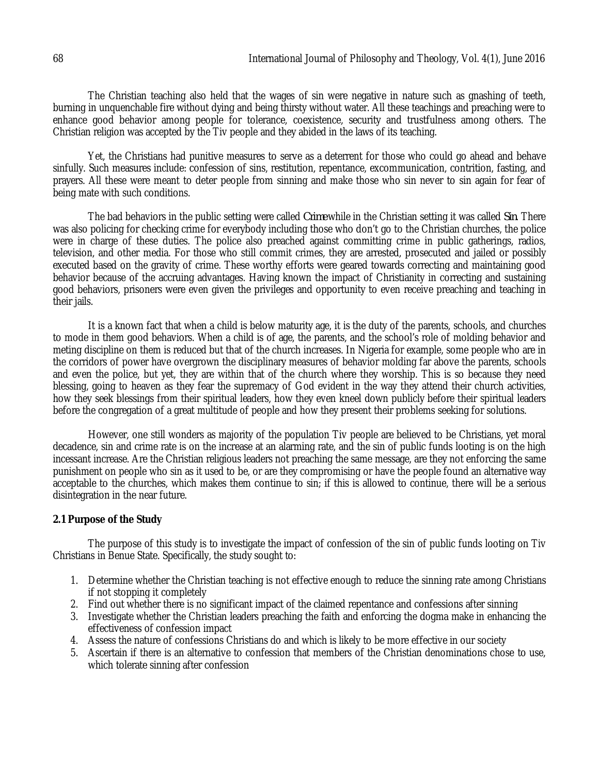The Christian teaching also held that the wages of sin were negative in nature such as gnashing of teeth, burning in unquenchable fire without dying and being thirsty without water. All these teachings and preaching were to enhance good behavior among people for tolerance, coexistence, security and trustfulness among others. The Christian religion was accepted by the Tiv people and they abided in the laws of its teaching.

Yet, the Christians had punitive measures to serve as a deterrent for those who could go ahead and behave sinfully. Such measures include: confession of sins, restitution, repentance, excommunication, contrition, fasting, and prayers. All these were meant to deter people from sinning and make those who sin never to sin again for fear of being mate with such conditions.

The bad behaviors in the public setting were called *Crime* while in the Christian setting it was called *Sin*. There was also policing for checking crime for everybody including those who don't go to the Christian churches, the police were in charge of these duties. The police also preached against committing crime in public gatherings, radios, television, and other media. For those who still commit crimes, they are arrested, prosecuted and jailed or possibly executed based on the gravity of crime. These worthy efforts were geared towards correcting and maintaining good behavior because of the accruing advantages. Having known the impact of Christianity in correcting and sustaining good behaviors, prisoners were even given the privileges and opportunity to even receive preaching and teaching in their jails.

It is a known fact that when a child is below maturity age, it is the duty of the parents, schools, and churches to mode in them good behaviors. When a child is of age, the parents, and the school's role of molding behavior and meting discipline on them is reduced but that of the church increases. In Nigeria for example, some people who are in the corridors of power have overgrown the disciplinary measures of behavior molding far above the parents, schools and even the police, but yet, they are within that of the church where they worship. This is so because they need blessing, going to heaven as they fear the supremacy of God evident in the way they attend their church activities, how they seek blessings from their spiritual leaders, how they even kneel down publicly before their spiritual leaders before the congregation of a great multitude of people and how they present their problems seeking for solutions.

However, one still wonders as majority of the population Tiv people are believed to be Christians, yet moral decadence, sin and crime rate is on the increase at an alarming rate, and the sin of public funds looting is on the high incessant increase. Are the Christian religious leaders not preaching the same message, are they not enforcing the same punishment on people who sin as it used to be, or are they compromising or have the people found an alternative way acceptable to the churches, which makes them continue to sin; if this is allowed to continue, there will be a serious disintegration in the near future.

### **2.1 Purpose of the Study**

The purpose of this study is to investigate the impact of confession of the sin of public funds looting on Tiv Christians in Benue State. Specifically, the study sought to:

- 1. Determine whether the Christian teaching is not effective enough to reduce the sinning rate among Christians if not stopping it completely
- 2. Find out whether there is no significant impact of the claimed repentance and confessions after sinning
- 3. Investigate whether the Christian leaders preaching the faith and enforcing the dogma make in enhancing the effectiveness of confession impact
- 4. Assess the nature of confessions Christians do and which is likely to be more effective in our society
- 5. Ascertain if there is an alternative to confession that members of the Christian denominations chose to use, which tolerate sinning after confession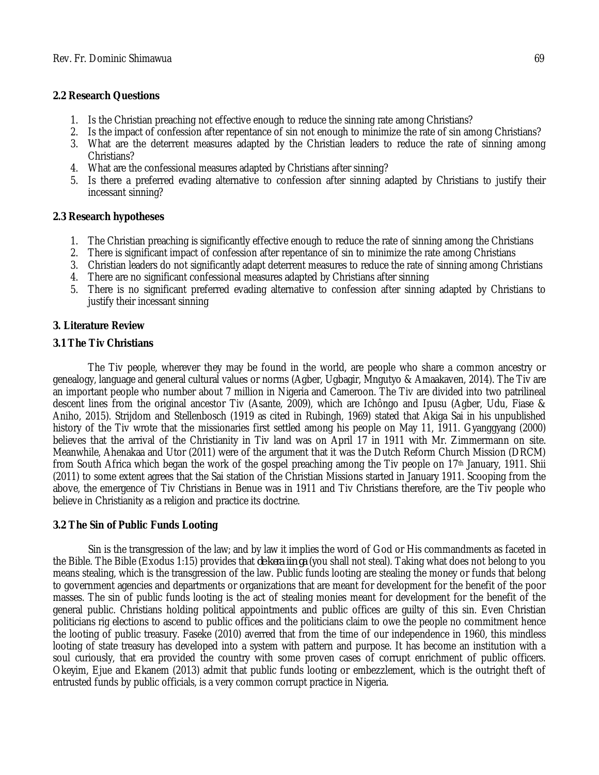## **2.2 Research Questions**

- 1. Is the Christian preaching not effective enough to reduce the sinning rate among Christians?
- 2. Is the impact of confession after repentance of sin not enough to minimize the rate of sin among Christians?
- 3. What are the deterrent measures adapted by the Christian leaders to reduce the rate of sinning among Christians?
- 4. What are the confessional measures adapted by Christians after sinning?
- 5. Is there a preferred evading alternative to confession after sinning adapted by Christians to justify their incessant sinning?

## **2.3 Research hypotheses**

- 1. The Christian preaching is significantly effective enough to reduce the rate of sinning among the Christians
- 2. There is significant impact of confession after repentance of sin to minimize the rate among Christians
- 3. Christian leaders do not significantly adapt deterrent measures to reduce the rate of sinning among Christians
- 4. There are no significant confessional measures adapted by Christians after sinning
- 5. There is no significant preferred evading alternative to confession after sinning adapted by Christians to justify their incessant sinning

### **3. Literature Review**

### **3.1 The Tiv Christians**

The Tiv people, wherever they may be found in the world, are people who share a common ancestry or genealogy, language and general cultural values or norms (Agber, Ugbagir, Mngutyo & Amaakaven, 2014). The Tiv are an important people who number about 7 million in Nigeria and Cameroon. The Tiv are divided into two patrilineal descent lines from the original ancestor Tiv (Asante, 2009), which are Ichôngo and Ipusu (Agber, Udu, Fiase & Aniho, 2015). Strijdom and Stellenbosch (1919 as cited in Rubingh, 1969) stated that Akiga Sai in his unpublished history of the Tiv wrote that the missionaries first settled among his people on May 11, 1911. Gyanggyang (2000) believes that the arrival of the Christianity in Tiv land was on April 17 in 1911 with Mr. Zimmermann on site. Meanwhile, Ahenakaa and Utor (2011) were of the argument that it was the Dutch Reform Church Mission (DRCM) from South Africa which began the work of the gospel preaching among the Tiv people on 17th January, 1911. Shii (2011) to some extent agrees that the Sai station of the Christian Missions started in January 1911. Scooping from the above, the emergence of Tiv Christians in Benue was in 1911 and Tiv Christians therefore, are the Tiv people who believe in Christianity as a religion and practice its doctrine.

### **3.2 The Sin of Public Funds Looting**

Sin is the transgression of the law; and by law it implies the word of God or His commandments as faceted in the Bible. The Bible (Exodus 1:15) provides that *de kera iin ga* (you shall not steal). Taking what does not belong to you means stealing, which is the transgression of the law. Public funds looting are stealing the money or funds that belong to government agencies and departments or organizations that are meant for development for the benefit of the poor masses. The sin of public funds looting is the act of stealing monies meant for development for the benefit of the general public. Christians holding political appointments and public offices are guilty of this sin. Even Christian politicians rig elections to ascend to public offices and the politicians claim to owe the people no commitment hence the looting of public treasury. Faseke (2010) averred that from the time of our independence in 1960, this mindless looting of state treasury has developed into a system with pattern and purpose. It has become an institution with a soul curiously, that era provided the country with some proven cases of corrupt enrichment of public officers. Okeyim, Ejue and Ekanem (2013) admit that public funds looting or embezzlement, which is the outright theft of entrusted funds by public officials, is a very common corrupt practice in Nigeria.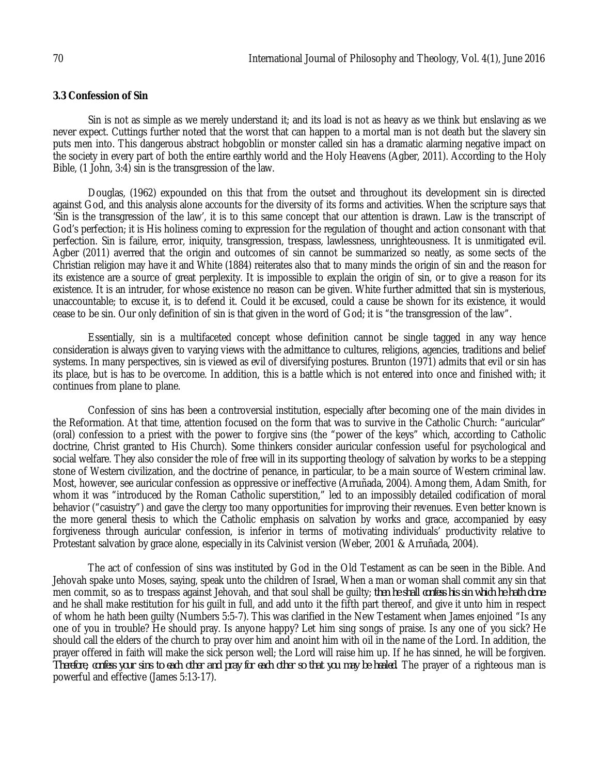#### **3.3 Confession of Sin**

Sin is not as simple as we merely understand it; and its load is not as heavy as we think but enslaving as we never expect. Cuttings further noted that the worst that can happen to a mortal man is not death but the slavery sin puts men into. This dangerous abstract hobgoblin or monster called sin has a dramatic alarming negative impact on the society in every part of both the entire earthly world and the Holy Heavens (Agber, 2011). According to the Holy Bible, (1 John, 3:4) sin is the transgression of the law.

Douglas, (1962) expounded on this that from the outset and throughout its development sin is directed against God, and this analysis alone accounts for the diversity of its forms and activities. When the scripture says that 'Sin is the transgression of the law', it is to this same concept that our attention is drawn. Law is the transcript of God's perfection; it is His holiness coming to expression for the regulation of thought and action consonant with that perfection. Sin is failure, error, iniquity, transgression, trespass, lawlessness, unrighteousness. It is unmitigated evil. Agber (2011) averred that the origin and outcomes of sin cannot be summarized so neatly, as some sects of the Christian religion may have it and White (1884) reiterates also that to many minds the origin of sin and the reason for its existence are a source of great perplexity. It is impossible to explain the origin of sin, or to give a reason for its existence. It is an intruder, for whose existence no reason can be given. White further admitted that sin is mysterious, unaccountable; to excuse it, is to defend it. Could it be excused, could a cause be shown for its existence, it would cease to be sin. Our only definition of sin is that given in the word of God; it is "the transgression of the law".

Essentially, sin is a multifaceted concept whose definition cannot be single tagged in any way hence consideration is always given to varying views with the admittance to cultures, religions, agencies, traditions and belief systems. In many perspectives, sin is viewed as evil of diversifying postures. Brunton (1971) admits that evil or sin has its place, but is has to be overcome. In addition, this is a battle which is not entered into once and finished with; it continues from plane to plane.

Confession of sins has been a controversial institution, especially after becoming one of the main divides in the Reformation. At that time, attention focused on the form that was to survive in the Catholic Church: "auricular" (oral) confession to a priest with the power to forgive sins (the "power of the keys" which, according to Catholic doctrine, Christ granted to His Church). Some thinkers consider auricular confession useful for psychological and social welfare. They also consider the role of free will in its supporting theology of salvation by works to be a stepping stone of Western civilization, and the doctrine of penance, in particular, to be a main source of Western criminal law. Most, however, see auricular confession as oppressive or ineffective (Arruñada, 2004). Among them, Adam Smith, for whom it was "introduced by the Roman Catholic superstition," led to an impossibly detailed codification of moral behavior ("casuistry") and gave the clergy too many opportunities for improving their revenues. Even better known is the more general thesis to which the Catholic emphasis on salvation by works and grace, accompanied by easy forgiveness through auricular confession, is inferior in terms of motivating individuals' productivity relative to Protestant salvation by grace alone, especially in its Calvinist version (Weber, 2001 & Arruñada, 2004).

The act of confession of sins was instituted by God in the Old Testament as can be seen in the Bible. And Jehovah spake unto Moses, saying, speak unto the children of Israel, When a man or woman shall commit any sin that men commit, so as to trespass against Jehovah, and that soul shall be guilty; *then he shall confess his sin which he hath done*: and he shall make restitution for his guilt in full, and add unto it the fifth part thereof, and give it unto him in respect of whom he hath been guilty (Numbers 5:5-7). This was clarified in the New Testament when James enjoined "Is any one of you in trouble? He should pray. Is anyone happy? Let him sing songs of praise. Is any one of you sick? He should call the elders of the church to pray over him and anoint him with oil in the name of the Lord. In addition, the prayer offered in faith will make the sick person well; the Lord will raise him up. If he has sinned, he will be forgiven. *Therefore, confess your sins to each other and pray for each other so that you may be healed*. The prayer of a righteous man is powerful and effective (James 5:13-17).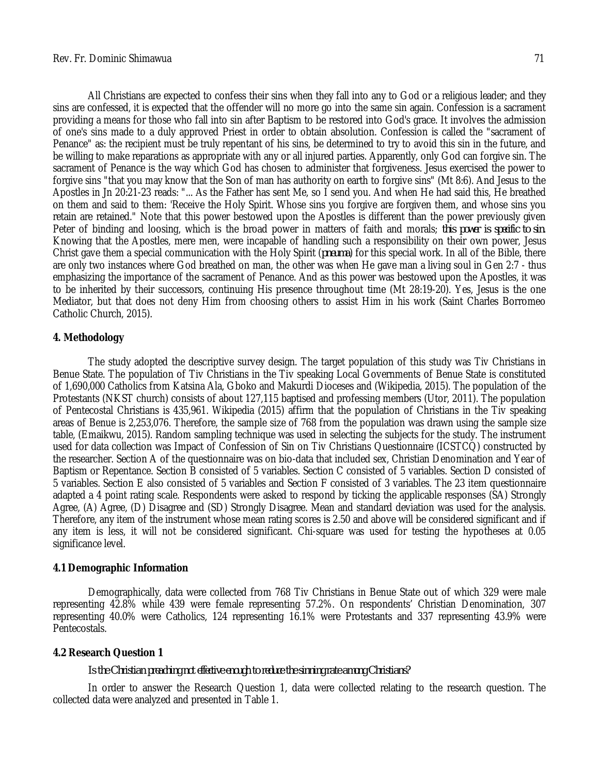All Christians are expected to confess their sins when they fall into any to God or a religious leader; and they sins are confessed, it is expected that the offender will no more go into the same sin again. Confession is a sacrament providing a means for those who fall into sin after Baptism to be restored into God's grace. It involves the admission of one's sins made to a duly approved Priest in order to obtain absolution. Confession is called the "sacrament of Penance" as: the recipient must be truly repentant of his sins, be determined to try to avoid this sin in the future, and be willing to make reparations as appropriate with any or all injured parties. Apparently, only God can forgive sin. The sacrament of Penance is the way which God has chosen to administer that forgiveness. Jesus exercised the power to forgive sins "that you may know that the Son of man has authority on earth to forgive sins" (Mt 8:6). And Jesus to the Apostles in Jn 20:21-23 reads: "... As the Father has sent Me, so I send you. And when He had said this, He breathed on them and said to them: 'Receive the Holy Spirit. Whose sins you forgive are forgiven them, and whose sins you retain are retained." Note that this power bestowed upon the Apostles is different than the power previously given Peter of binding and loosing, which is the broad power in matters of faith and morals; *this power is specific to sin*. Knowing that the Apostles, mere men, were incapable of handling such a responsibility on their own power, Jesus Christ gave them a special communication with the Holy Spirit (*pneuma*) for this special work. In all of the Bible, there are only two instances where God breathed on man, the other was when He gave man a living soul in Gen 2:7 - thus emphasizing the importance of the sacrament of Penance. And as this power was bestowed upon the Apostles, it was to be inherited by their successors, continuing His presence throughout time (Mt 28:19-20). Yes, Jesus is the one Mediator, but that does not deny Him from choosing others to assist Him in his work (Saint Charles Borromeo Catholic Church, 2015).

#### **4. Methodology**

The study adopted the descriptive survey design. The target population of this study was Tiv Christians in Benue State. The population of Tiv Christians in the Tiv speaking Local Governments of Benue State is constituted of 1,690,000 Catholics from Katsina Ala, Gboko and Makurdi Dioceses and (Wikipedia, 2015). The population of the Protestants (NKST church) consists of about 127,115 baptised and professing members (Utor, 2011). The population of Pentecostal Christians is 435,961. Wikipedia (2015) affirm that the population of Christians in the Tiv speaking areas of Benue is 2,253,076. Therefore, the sample size of 768 from the population was drawn using the sample size table, (Emaikwu, 2015). Random sampling technique was used in selecting the subjects for the study. The instrument used for data collection was Impact of Confession of Sin on Tiv Christians Questionnaire (ICSTCQ) constructed by the researcher. Section A of the questionnaire was on bio-data that included sex, Christian Denomination and Year of Baptism or Repentance. Section B consisted of 5 variables. Section C consisted of 5 variables. Section D consisted of 5 variables. Section E also consisted of 5 variables and Section F consisted of 3 variables. The 23 item questionnaire adapted a 4 point rating scale. Respondents were asked to respond by ticking the applicable responses (SA) Strongly Agree, (A) Agree, (D) Disagree and (SD) Strongly Disagree. Mean and standard deviation was used for the analysis. Therefore, any item of the instrument whose mean rating scores is 2.50 and above will be considered significant and if any item is less, it will not be considered significant. Chi-square was used for testing the hypotheses at 0.05 significance level.

#### **4.1 Demographic Information**

Demographically, data were collected from 768 Tiv Christians in Benue State out of which 329 were male representing 42.8% while 439 were female representing 57.2%. On respondents' Christian Denomination, 307 representing 40.0% were Catholics, 124 representing 16.1% were Protestants and 337 representing 43.9% were **Pentecostals** 

#### **4.2 Research Question 1**

#### *Is the Christian preaching not effective enough to reduce the sinning rate among Christians?*

In order to answer the Research Question 1, data were collected relating to the research question. The collected data were analyzed and presented in Table 1.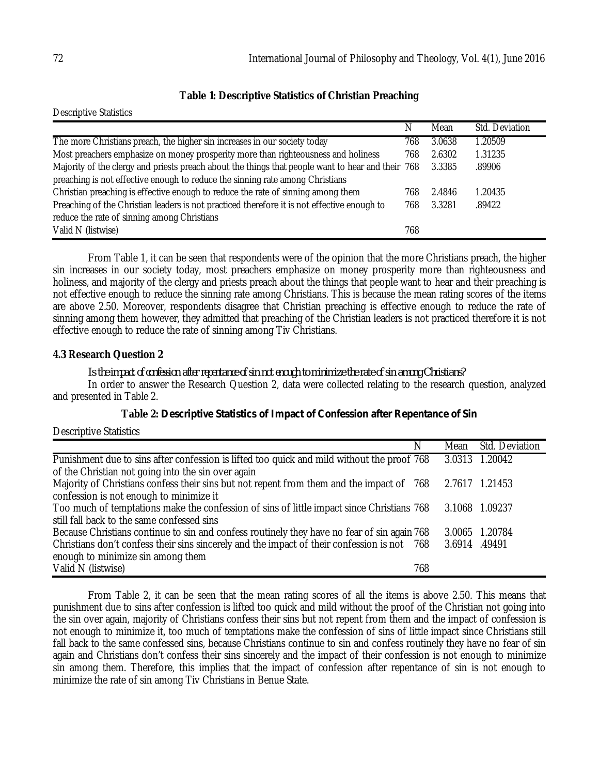### **Table 1: Descriptive Statistics of Christian Preaching**

Descriptive Statistics

|                                                                                                   | N   | Mean   | Std. Deviation |
|---------------------------------------------------------------------------------------------------|-----|--------|----------------|
| The more Christians preach, the higher sin increases in our society today                         | 768 | 3.0638 | 1.20509        |
| Most preachers emphasize on money prosperity more than righteousness and holiness                 | 768 | 2.6302 | 1.31235        |
| Majority of the clergy and priests preach about the things that people want to hear and their 768 |     | 3.3385 | .89906         |
| preaching is not effective enough to reduce the sinning rate among Christians                     |     |        |                |
| Christian preaching is effective enough to reduce the rate of sinning among them                  | 768 | 2.4846 | 1.20435        |
| Preaching of the Christian leaders is not practiced therefore it is not effective enough to       | 768 | 3.3281 | .89422         |
| reduce the rate of sinning among Christians                                                       |     |        |                |
| Valid N (listwise)                                                                                | 768 |        |                |

From Table 1, it can be seen that respondents were of the opinion that the more Christians preach, the higher sin increases in our society today, most preachers emphasize on money prosperity more than righteousness and holiness, and majority of the clergy and priests preach about the things that people want to hear and their preaching is not effective enough to reduce the sinning rate among Christians. This is because the mean rating scores of the items are above 2.50. Moreover, respondents disagree that Christian preaching is effective enough to reduce the rate of sinning among them however, they admitted that preaching of the Christian leaders is not practiced therefore it is not effective enough to reduce the rate of sinning among Tiv Christians.

#### **4.3 Research Question 2**

*Is the impact of confession after repentance of sin not enough to minimize the rate of sin among Christians?* In order to answer the Research Question 2, data were collected relating to the research question, analyzed and presented in Table 2.

#### **Table 2:** *Descriptive Statistics of Impact of Confession after Repentance of Sin*

Descriptive Statistics

|                                                                                             | N   | Mean          | Std. Deviation |
|---------------------------------------------------------------------------------------------|-----|---------------|----------------|
| Punishment due to sins after confession is lifted too quick and mild without the proof 768  |     | 3.0313        | 1.20042        |
| of the Christian not going into the sin over again                                          |     |               |                |
| Majority of Christians confess their sins but not repent from them and the impact of 768    |     |               | 2.7617 1.21453 |
| confession is not enough to minimize it                                                     |     |               |                |
| Too much of temptations make the confession of sins of little impact since Christians 768   |     |               | 3.1068 1.09237 |
| still fall back to the same confessed sins                                                  |     |               |                |
| Because Christians continue to sin and confess routinely they have no fear of sin again 768 |     | 3.0065        | 1.20784        |
| Christians don't confess their sins sincerely and the impact of their confession is not 768 |     | 3.6914 .49491 |                |
| enough to minimize sin among them                                                           |     |               |                |
| Valid N (listwise)                                                                          | 768 |               |                |

From Table 2, it can be seen that the mean rating scores of all the items is above 2.50. This means that punishment due to sins after confession is lifted too quick and mild without the proof of the Christian not going into the sin over again, majority of Christians confess their sins but not repent from them and the impact of confession is not enough to minimize it, too much of temptations make the confession of sins of little impact since Christians still fall back to the same confessed sins, because Christians continue to sin and confess routinely they have no fear of sin again and Christians don't confess their sins sincerely and the impact of their confession is not enough to minimize sin among them. Therefore, this implies that the impact of confession after repentance of sin is not enough to minimize the rate of sin among Tiv Christians in Benue State.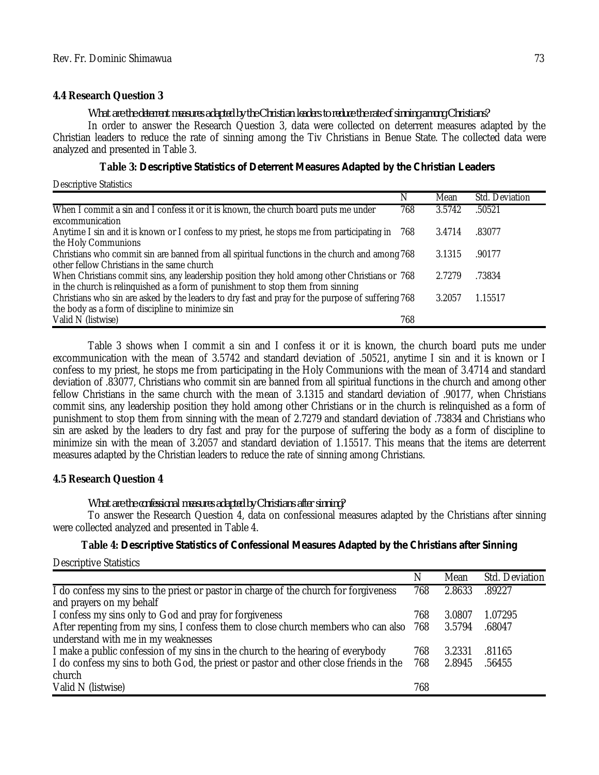#### **4.4 Research Question 3**

*What are the deterrent measures adapted by the Christian leaders to reduce the rate of sinning among Christians?*

In order to answer the Research Question 3, data were collected on deterrent measures adapted by the Christian leaders to reduce the rate of sinning among the Tiv Christians in Benue State. The collected data were analyzed and presented in Table 3.

| Table 3: Descriptive Statistics of Deterrent Measures Adapted by the Christian Leaders |  |  |  |
|----------------------------------------------------------------------------------------|--|--|--|
|----------------------------------------------------------------------------------------|--|--|--|

Descriptive Statistics

|                                                                                                                                                                                 | N   | Mean   | Std. Deviation |
|---------------------------------------------------------------------------------------------------------------------------------------------------------------------------------|-----|--------|----------------|
| When I commit a sin and I confess it or it is known, the church board puts me under<br>excommunication                                                                          | 768 | 3.5742 | .50521         |
| Anytime I sin and it is known or I confess to my priest, he stops me from participating in<br>the Holy Communions                                                               | 768 | 3.4714 | .83077         |
| Christians who commit sin are banned from all spiritual functions in the church and among 768<br>other fellow Christians in the same church                                     |     | 3.1315 | .90177         |
| When Christians commit sins, any leadership position they hold among other Christians or 768<br>in the church is relinguished as a form of punishment to stop them from sinning |     | 2.7279 | .73834         |
| Christians who sin are asked by the leaders to dry fast and pray for the purpose of suffering 768<br>the body as a form of discipline to minimize sin                           |     | 3.2057 | 1.15517        |
| Valid N (listwise)                                                                                                                                                              | 768 |        |                |

Table 3 shows when I commit a sin and I confess it or it is known, the church board puts me under excommunication with the mean of 3.5742 and standard deviation of .50521, anytime I sin and it is known or I confess to my priest, he stops me from participating in the Holy Communions with the mean of 3.4714 and standard deviation of .83077, Christians who commit sin are banned from all spiritual functions in the church and among other fellow Christians in the same church with the mean of 3.1315 and standard deviation of .90177, when Christians commit sins, any leadership position they hold among other Christians or in the church is relinquished as a form of punishment to stop them from sinning with the mean of 2.7279 and standard deviation of .73834 and Christians who sin are asked by the leaders to dry fast and pray for the purpose of suffering the body as a form of discipline to minimize sin with the mean of 3.2057 and standard deviation of 1.15517. This means that the items are deterrent measures adapted by the Christian leaders to reduce the rate of sinning among Christians.

### **4.5 Research Question 4**

*What are the confessional measures adapted by Christians after sinning?*

To answer the Research Question 4, data on confessional measures adapted by the Christians after sinning were collected analyzed and presented in Table 4.

### **Table 4:** *Descriptive Statistics of Confessional Measures Adapted by the Christians after Sinning*

Descriptive Statistics

|                                                                                       | N   | Mean   | Std. Deviation |
|---------------------------------------------------------------------------------------|-----|--------|----------------|
| I do confess my sins to the priest or pastor in charge of the church for forgiveness  | 768 | 2.8633 | .89227         |
| and prayers on my behalf                                                              |     |        |                |
| I confess my sins only to God and pray for forgiveness                                | 768 | 3.0807 | 1.07295        |
| After repenting from my sins, I confess them to close church members who can also     | 768 | 3.5794 | .68047         |
| understand with me in my weaknesses                                                   |     |        |                |
| I make a public confession of my sins in the church to the hearing of everybody       | 768 | 3.2331 | .81165         |
| I do confess my sins to both God, the priest or pastor and other close friends in the | 768 | 2.8945 | .56455         |
| church                                                                                |     |        |                |
| Valid N (listwise)                                                                    | 768 |        |                |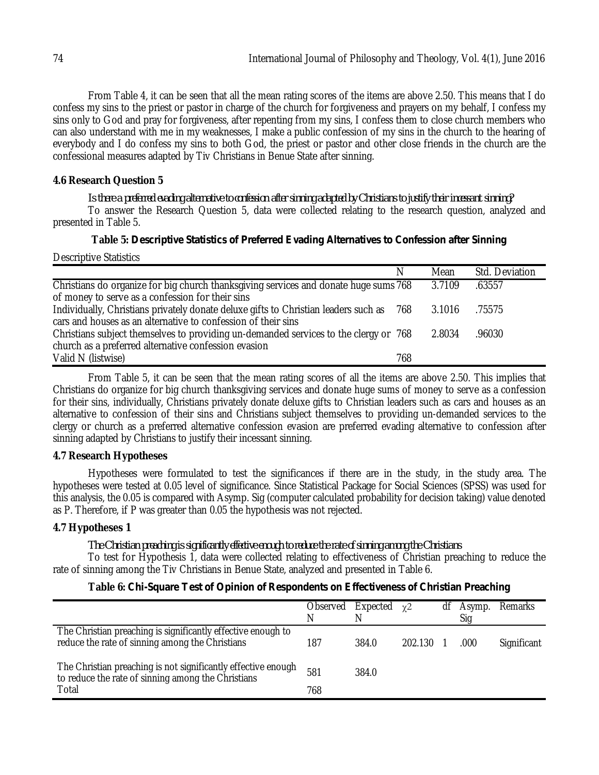From Table 4, it can be seen that all the mean rating scores of the items are above 2.50. This means that I do confess my sins to the priest or pastor in charge of the church for forgiveness and prayers on my behalf, I confess my sins only to God and pray for forgiveness, after repenting from my sins, I confess them to close church members who can also understand with me in my weaknesses, I make a public confession of my sins in the church to the hearing of everybody and I do confess my sins to both God, the priest or pastor and other close friends in the church are the confessional measures adapted by Tiv Christians in Benue State after sinning.

### **4.6 Research Question 5**

*Is there a preferred evading alternative to confession after sinning adapted by Christians to justify their incessant sinning?* To answer the Research Question 5, data were collected relating to the research question, analyzed and presented in Table 5.

#### **Table 5:** *Descriptive Statistics of Preferred Evading Alternatives to Confession after Sinning*

Descriptive Statistics

|                                                                                      | N   | Mean   | Std. Deviation |
|--------------------------------------------------------------------------------------|-----|--------|----------------|
| Christians do organize for big church thanksgiving services and donate huge sums 768 |     | 3.7109 | .63557         |
| of money to serve as a confession for their sins                                     |     |        |                |
| Individually, Christians privately donate deluxe gifts to Christian leaders such as  | 768 | 3.1016 | .75575         |
| cars and houses as an alternative to confession of their sins                        |     |        |                |
| Christians subject themselves to providing un-demanded services to the clergy or 768 |     | 2.8034 | .96030         |
| church as a preferred alternative confession evasion                                 |     |        |                |
| Valid N (listwise)                                                                   | 768 |        |                |

From Table 5, it can be seen that the mean rating scores of all the items are above 2.50. This implies that Christians do organize for big church thanksgiving services and donate huge sums of money to serve as a confession for their sins, individually, Christians privately donate deluxe gifts to Christian leaders such as cars and houses as an alternative to confession of their sins and Christians subject themselves to providing un-demanded services to the clergy or church as a preferred alternative confession evasion are preferred evading alternative to confession after sinning adapted by Christians to justify their incessant sinning.

#### **4.7 Research Hypotheses**

Hypotheses were formulated to test the significances if there are in the study, in the study area. The hypotheses were tested at 0.05 level of significance. Since Statistical Package for Social Sciences (SPSS) was used for this analysis, the 0.05 is compared with Asymp. Sig (computer calculated probability for decision taking) value denoted as P. Therefore, if P was greater than 0.05 the hypothesis was not rejected.

### **4.7 Hypotheses 1**

*The Christian preaching is significantly effective enough to reduce the rate of sinning among the Christians*

To test for Hypothesis 1, data were collected relating to effectiveness of Christian preaching to reduce the rate of sinning among the Tiv Christians in Benue State, analyzed and presented in Table 6.

### **Table 6:** *Chi-Square Test of Opinion of Respondents on Effectiveness of Christian Preaching*

|                                                                                                                     | Observed<br>N | Expected | $\gamma$ 2 | df | Asymp.<br>Sig | Remarks     |
|---------------------------------------------------------------------------------------------------------------------|---------------|----------|------------|----|---------------|-------------|
| The Christian preaching is significantly effective enough to<br>reduce the rate of sinning among the Christians     | 187           | 384.0    | 202.130    |    | .000          | Significant |
| The Christian preaching is not significantly effective enough<br>to reduce the rate of sinning among the Christians | 581           | 384.0    |            |    |               |             |
| Total                                                                                                               | 768           |          |            |    |               |             |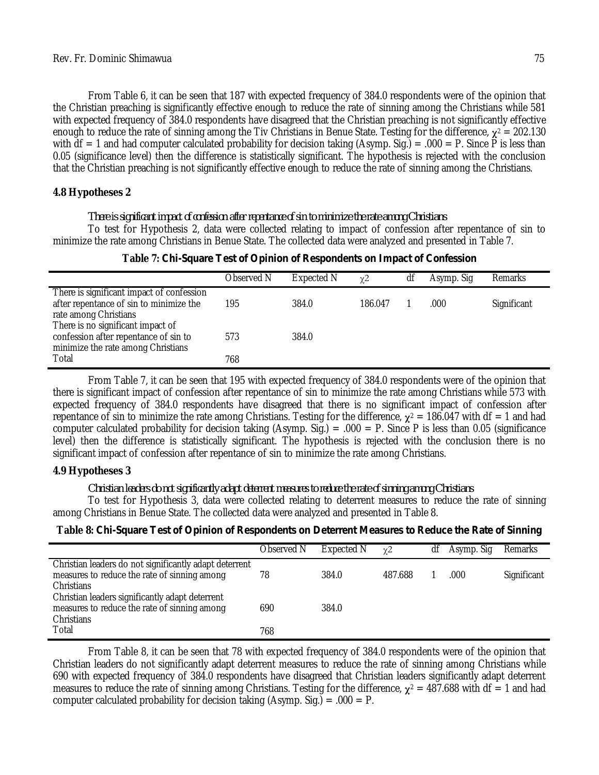From Table 6, it can be seen that 187 with expected frequency of 384.0 respondents were of the opinion that the Christian preaching is significantly effective enough to reduce the rate of sinning among the Christians while 581 with expected frequency of 384.0 respondents have disagreed that the Christian preaching is not significantly effective enough to reduce the rate of sinning among the Tiv Christians in Benue State. Testing for the difference, **χ**<sup>2</sup> = 202.130 with df  $= 1$  and had computer calculated probability for decision taking (Asymp. Sig.)  $= .000 = P$ . Since P is less than 0.05 (significance level) then the difference is statistically significant. The hypothesis is rejected with the conclusion that the Christian preaching is not significantly effective enough to reduce the rate of sinning among the Christians.

### **4.8 Hypotheses 2**

*There is significant impact of confession after repentance of sin to minimize the rate among Christians*

To test for Hypothesis 2, data were collected relating to impact of confession after repentance of sin to minimize the rate among Christians in Benue State. The collected data were analyzed and presented in Table 7.

|                                                                                                                  | Observed N | Expected N | $\chi$ <sup>2</sup> | df | Asymp. Sig | Remarks     |
|------------------------------------------------------------------------------------------------------------------|------------|------------|---------------------|----|------------|-------------|
| There is significant impact of confession<br>after repentance of sin to minimize the<br>rate among Christians    | 195        | 384.0      | 186.047             |    | .000       | Significant |
| There is no significant impact of<br>confession after repentance of sin to<br>minimize the rate among Christians | 573        | 384.0      |                     |    |            |             |
| Total                                                                                                            | 768        |            |                     |    |            |             |

**Table 7:** *Chi-Square Test of Opinion of Respondents on Impact of Confession*

From Table 7, it can be seen that 195 with expected frequency of 384.0 respondents were of the opinion that there is significant impact of confession after repentance of sin to minimize the rate among Christians while 573 with expected frequency of 384.0 respondents have disagreed that there is no significant impact of confession after repentance of sin to minimize the rate among Christians. Testing for the difference,  $\chi^2 = 186.047$  with df = 1 and had computer calculated probability for decision taking (Asymp. Sig.) = .000 = P. Since P is less than 0.05 (significance level) then the difference is statistically significant. The hypothesis is rejected with the conclusion there is no significant impact of confession after repentance of sin to minimize the rate among Christians.

#### **4.9 Hypotheses 3**

#### *Christian leaders do not significantly adapt deterrent measures to reduce the rate of sinning among Christians*

To test for Hypothesis 3, data were collected relating to deterrent measures to reduce the rate of sinning among Christians in Benue State. The collected data were analyzed and presented in Table 8.

|  |  |  |  |  | Table 8: Chi-Square Test of Opinion of Respondents on Deterrent Measures to Reduce the Rate of Sinning |
|--|--|--|--|--|--------------------------------------------------------------------------------------------------------|
|--|--|--|--|--|--------------------------------------------------------------------------------------------------------|

|                                                        | Observed N | Expected N | $\gamma$ 2 | df | Asymp. Sig | <b>Remarks</b> |
|--------------------------------------------------------|------------|------------|------------|----|------------|----------------|
|                                                        |            |            |            |    |            |                |
| Christian leaders do not significantly adapt deterrent |            |            |            |    |            |                |
| measures to reduce the rate of sinning among           | 78         | 384.0      | 487.688    |    | .000       | Significant    |
| Christians                                             |            |            |            |    |            |                |
| Christian leaders significantly adapt deterrent        |            |            |            |    |            |                |
| measures to reduce the rate of sinning among           | 690        | 384.0      |            |    |            |                |
| Christians                                             |            |            |            |    |            |                |
| Total                                                  | 768        |            |            |    |            |                |

From Table 8, it can be seen that 78 with expected frequency of 384.0 respondents were of the opinion that Christian leaders do not significantly adapt deterrent measures to reduce the rate of sinning among Christians while 690 with expected frequency of 384.0 respondents have disagreed that Christian leaders significantly adapt deterrent measures to reduce the rate of sinning among Christians. Testing for the difference,  $\chi^2 = 487.688$  with df = 1 and had computer calculated probability for decision taking (Asymp. Sig.) =  $.000 = P$ .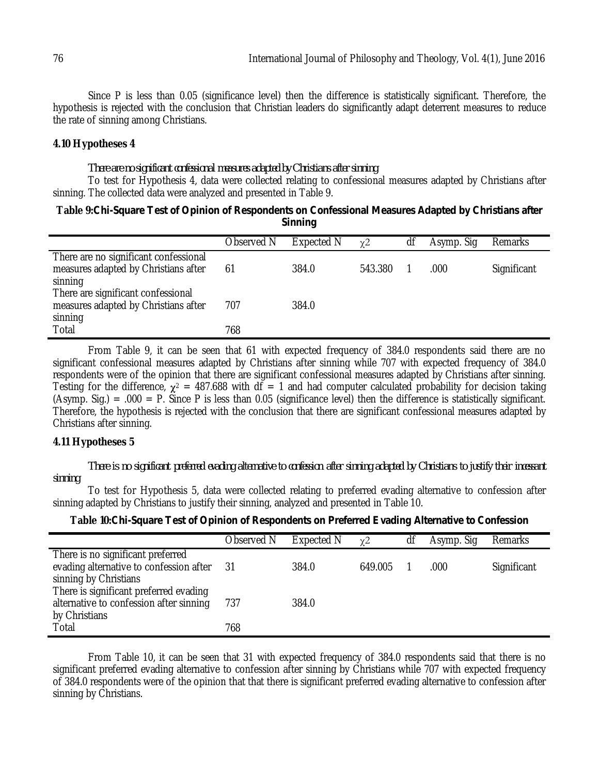Since P is less than 0.05 (significance level) then the difference is statistically significant. Therefore, the hypothesis is rejected with the conclusion that Christian leaders do significantly adapt deterrent measures to reduce the rate of sinning among Christians.

#### **4.10 Hypotheses 4**

#### *There are no significant confessional measures adapted by Christians after sinning*

To test for Hypothesis 4, data were collected relating to confessional measures adapted by Christians after sinning. The collected data were analyzed and presented in Table 9.

#### **Table 9:***Chi-Square Test of Opinion of Respondents on Confessional Measures Adapted by Christians after Sinning*

|                                                                                          | Observed N | <b>Expected N</b> | $\chi$ <sup>2</sup> | df | Asymp. Sig | Remarks     |
|------------------------------------------------------------------------------------------|------------|-------------------|---------------------|----|------------|-------------|
| There are no significant confessional<br>measures adapted by Christians after<br>sinning | 61         | 384.0             | 543.380             |    | .000       | Significant |
| There are significant confessional<br>measures adapted by Christians after<br>sinning    | 707        | 384.0             |                     |    |            |             |
| Total                                                                                    | 768        |                   |                     |    |            |             |

From Table 9, it can be seen that 61 with expected frequency of 384.0 respondents said there are no significant confessional measures adapted by Christians after sinning while 707 with expected frequency of 384.0 respondents were of the opinion that there are significant confessional measures adapted by Christians after sinning. Testing for the difference,  $\chi^2 = 487.688$  with df = 1 and had computer calculated probability for decision taking (Asymp. Sig.) = .000 = P. Since P is less than 0.05 (significance level) then the difference is statistically significant. Therefore, the hypothesis is rejected with the conclusion that there are significant confessional measures adapted by Christians after sinning.

#### **4.11 Hypotheses 5**

*There is no significant preferred evading alternative to confession after sinning adapted by Christians to justify their incessant sinning*

To test for Hypothesis 5, data were collected relating to preferred evading alternative to confession after sinning adapted by Christians to justify their sinning, analyzed and presented in Table 10.

| Table 10: Chi-Square Test of Opinion of Respondents on Preferred Evading Alternative to Confession |  |  |  |  |  |
|----------------------------------------------------------------------------------------------------|--|--|--|--|--|
|----------------------------------------------------------------------------------------------------|--|--|--|--|--|

|                                                                                                       | Observed N | Expected N | $\chi$ <sup>2</sup> | df | Asymp. Sig | Remarks     |
|-------------------------------------------------------------------------------------------------------|------------|------------|---------------------|----|------------|-------------|
| There is no significant preferred<br>evading alternative to confession after<br>sinning by Christians | -31        | 384.0      | 649.005             |    | .000       | Significant |
| There is significant preferred evading<br>alternative to confession after sinning<br>by Christians    | 737        | 384.0      |                     |    |            |             |
| Total                                                                                                 | 768        |            |                     |    |            |             |

From Table 10, it can be seen that 31 with expected frequency of 384.0 respondents said that there is no significant preferred evading alternative to confession after sinning by Christians while 707 with expected frequency of 384.0 respondents were of the opinion that that there is significant preferred evading alternative to confession after sinning by Christians.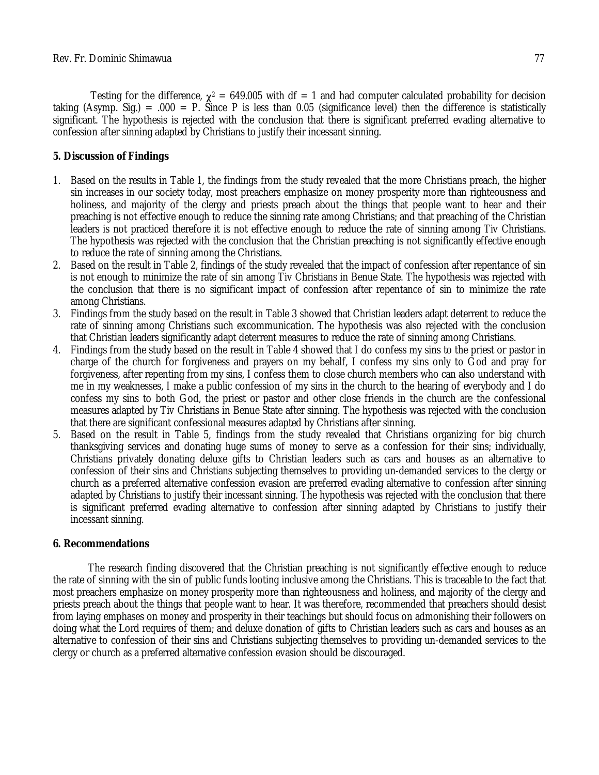Testing for the difference,  $\chi^2 = 649.005$  with df = 1 and had computer calculated probability for decision taking (Asymp. Sig.) = .000 = P. Since P is less than 0.05 (significance level) then the difference is statistically significant. The hypothesis is rejected with the conclusion that there is significant preferred evading alternative to confession after sinning adapted by Christians to justify their incessant sinning.

## **5. Discussion of Findings**

- 1. Based on the results in Table 1, the findings from the study revealed that the more Christians preach, the higher sin increases in our society today, most preachers emphasize on money prosperity more than righteousness and holiness, and majority of the clergy and priests preach about the things that people want to hear and their preaching is not effective enough to reduce the sinning rate among Christians; and that preaching of the Christian leaders is not practiced therefore it is not effective enough to reduce the rate of sinning among Tiv Christians. The hypothesis was rejected with the conclusion that the Christian preaching is not significantly effective enough to reduce the rate of sinning among the Christians.
- 2. Based on the result in Table 2, findings of the study revealed that the impact of confession after repentance of sin is not enough to minimize the rate of sin among Tiv Christians in Benue State. The hypothesis was rejected with the conclusion that there is no significant impact of confession after repentance of sin to minimize the rate among Christians.
- 3. Findings from the study based on the result in Table 3 showed that Christian leaders adapt deterrent to reduce the rate of sinning among Christians such excommunication. The hypothesis was also rejected with the conclusion that Christian leaders significantly adapt deterrent measures to reduce the rate of sinning among Christians.
- 4. Findings from the study based on the result in Table 4 showed that I do confess my sins to the priest or pastor in charge of the church for forgiveness and prayers on my behalf, I confess my sins only to God and pray for forgiveness, after repenting from my sins, I confess them to close church members who can also understand with me in my weaknesses, I make a public confession of my sins in the church to the hearing of everybody and I do confess my sins to both God, the priest or pastor and other close friends in the church are the confessional measures adapted by Tiv Christians in Benue State after sinning. The hypothesis was rejected with the conclusion that there are significant confessional measures adapted by Christians after sinning.
- 5. Based on the result in Table 5, findings from the study revealed that Christians organizing for big church thanksgiving services and donating huge sums of money to serve as a confession for their sins; individually, Christians privately donating deluxe gifts to Christian leaders such as cars and houses as an alternative to confession of their sins and Christians subjecting themselves to providing un-demanded services to the clergy or church as a preferred alternative confession evasion are preferred evading alternative to confession after sinning adapted by Christians to justify their incessant sinning. The hypothesis was rejected with the conclusion that there is significant preferred evading alternative to confession after sinning adapted by Christians to justify their incessant sinning.

### **6. Recommendations**

The research finding discovered that the Christian preaching is not significantly effective enough to reduce the rate of sinning with the sin of public funds looting inclusive among the Christians. This is traceable to the fact that most preachers emphasize on money prosperity more than righteousness and holiness, and majority of the clergy and priests preach about the things that people want to hear. It was therefore, recommended that preachers should desist from laying emphases on money and prosperity in their teachings but should focus on admonishing their followers on doing what the Lord requires of them; and deluxe donation of gifts to Christian leaders such as cars and houses as an alternative to confession of their sins and Christians subjecting themselves to providing un-demanded services to the clergy or church as a preferred alternative confession evasion should be discouraged.